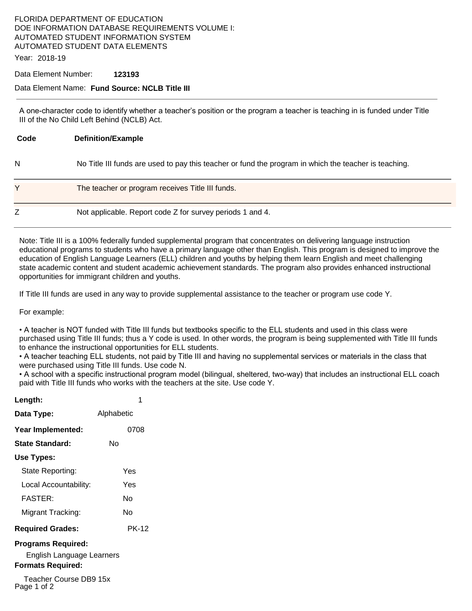# FLORIDA DEPARTMENT OF EDUCATION DOE INFORMATION DATABASE REQUIREMENTS VOLUME I: AUTOMATED STUDENT INFORMATION SYSTEM AUTOMATED STUDENT DATA ELEMENTS

Year: 2018-19

#### Data Element Number: **123193**

#### Data Element Name: **Fund Source: NCLB Title III**

A one-character code to identify whether a teacher's position or the program a teacher is teaching in is funded under Title III of the No Child Left Behind (NCLB) Act.

| Code | <b>Definition/Example</b>                                                                             |
|------|-------------------------------------------------------------------------------------------------------|
| N    | No Title III funds are used to pay this teacher or fund the program in which the teacher is teaching. |
|      | The teacher or program receives Title III funds.                                                      |
|      | Not applicable. Report code Z for survey periods 1 and 4.                                             |

Note: Title III is a 100% federally funded supplemental program that concentrates on delivering language instruction educational programs to students who have a primary language other than English. This program is designed to improve the education of English Language Learners (ELL) children and youths by helping them learn English and meet challenging state academic content and student academic achievement standards. The program also provides enhanced instructional opportunities for immigrant children and youths.

If Title III funds are used in any way to provide supplemental assistance to the teacher or program use code Y.

For example:

• A teacher is NOT funded with Title III funds but textbooks specific to the ELL students and used in this class were purchased using Title III funds; thus a Y code is used. In other words, the program is being supplemented with Title III funds to enhance the instructional opportunities for ELL students.

• A teacher teaching ELL students, not paid by Title III and having no supplemental services or materials in the class that were purchased using Title III funds. Use code N.

• A school with a specific instructional program model (bilingual, sheltered, two-way) that includes an instructional ELL coach paid with Title III funds who works with the teachers at the site. Use code Y.

| Length:                   | 1          |  |  |
|---------------------------|------------|--|--|
| Data Type:                | Alphabetic |  |  |
| Year Implemented:         | 0708       |  |  |
| State Standard:           | N٥         |  |  |
| Use Types:                |            |  |  |
| State Reporting:          | Yes        |  |  |
| Local Accountability:     | Yes        |  |  |
| FASTER:                   | N٥         |  |  |
| Migrant Tracking:         | N٥         |  |  |
| <b>Required Grades:</b>   | PK-12      |  |  |
| <b>Programs Required:</b> |            |  |  |

English Language Learners **Formats Required:** 

Teacher Course DB9 15x Page 1 of 2